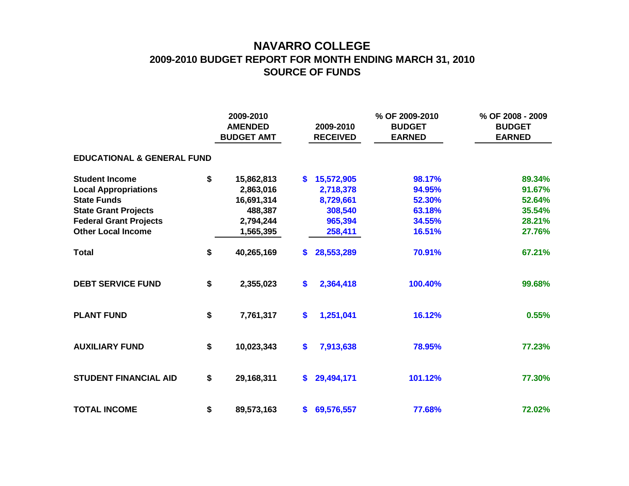## **NAVARRO COLLEGE 2009-2010 BUDGET REPORT FOR MONTH ENDING MARCH 31, 2010 SOURCE OF FUNDS**

|                                       |    | 2009-2010<br><b>AMENDED</b><br><b>BUDGET AMT</b> | 2009-2010<br><b>RECEIVED</b> |              | % OF 2009-2010<br><b>BUDGET</b><br><b>EARNED</b> | % OF 2008 - 2009<br><b>BUDGET</b><br><b>EARNED</b> |  |
|---------------------------------------|----|--------------------------------------------------|------------------------------|--------------|--------------------------------------------------|----------------------------------------------------|--|
| <b>EDUCATIONAL &amp; GENERAL FUND</b> |    |                                                  |                              |              |                                                  |                                                    |  |
| <b>Student Income</b>                 | \$ | 15,862,813                                       | $\mathbf{s}$                 | 15,572,905   | 98.17%                                           | 89.34%                                             |  |
| <b>Local Appropriations</b>           |    | 2,863,016                                        |                              | 2,718,378    | 94.95%                                           | 91.67%                                             |  |
| <b>State Funds</b>                    |    | 16,691,314                                       |                              | 8,729,661    | 52.30%                                           | 52.64%                                             |  |
| <b>State Grant Projects</b>           |    | 488,387                                          |                              | 308,540      | 63.18%                                           | 35.54%                                             |  |
| <b>Federal Grant Projects</b>         |    | 2,794,244                                        |                              | 965,394      | 34.55%                                           | 28.21%                                             |  |
| <b>Other Local Income</b>             |    | 1,565,395                                        |                              | 258,411      | 16.51%                                           | 27.76%                                             |  |
| <b>Total</b>                          | \$ | 40,265,169                                       | \$.                          | 28,553,289   | 70.91%                                           | 67.21%                                             |  |
| <b>DEBT SERVICE FUND</b>              | \$ | 2,355,023                                        | \$                           | 2,364,418    | 100.40%                                          | 99.68%                                             |  |
| <b>PLANT FUND</b>                     | \$ | 7,761,317                                        | \$                           | 1,251,041    | 16.12%                                           | 0.55%                                              |  |
| <b>AUXILIARY FUND</b>                 | \$ | 10,023,343                                       | \$                           | 7,913,638    | 78.95%                                           | 77.23%                                             |  |
| <b>STUDENT FINANCIAL AID</b>          | \$ | 29,168,311                                       | S.                           | 29,494,171   | 101.12%                                          | 77.30%                                             |  |
| <b>TOTAL INCOME</b>                   | \$ | 89,573,163                                       |                              | \$69,576,557 | 77.68%                                           | 72.02%                                             |  |